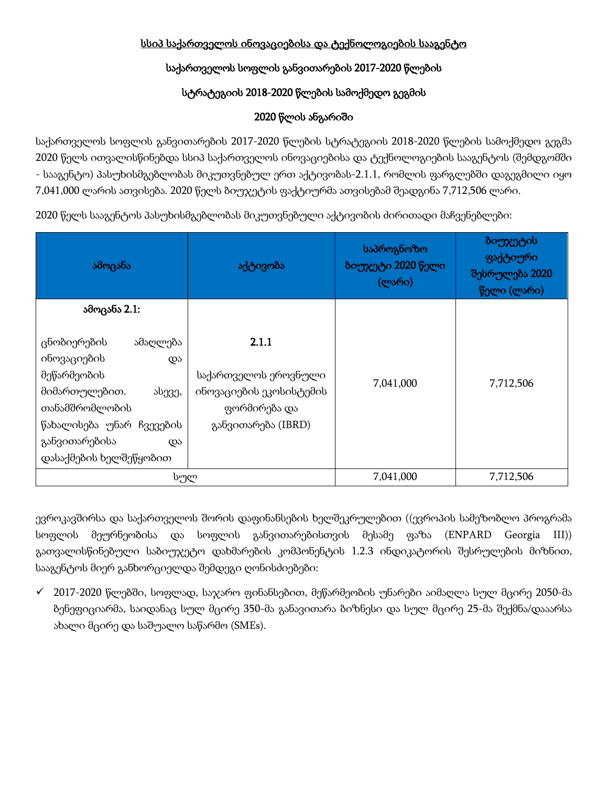## სსიპ საქართველოს ინოვაციებისა და ტექნოლოგიების სააგენტო

# საქართველოს სოფლის განვითარების 2017-2020 წლების

# სტრატეგიის 2018-2020 წლების სამოქმედო გეგმის

## 2020 წლის ანგარიში

საქართველოს სოფლის განვითარების 2017-2020 წლების სტრატეგიის 2018-2020 წლების სამოქმედო გეგმა 2020 წელს ითვალისწინებდა სსიპ საქართველოს ინოვაციებისა და ტექნოლოგიების სააგენტოს (შემდგომში - სააგენტო) პასუხისმგებლობას მიკუთვნებულ ერთ აქტივობას-2.1.1, რომლის ფარგლებში დაგეგმილი იყო 7,041,000 ლარის ათვისება. 2020 წელს ბიუჯეტის ფაქტიურმა ათვისებამ შეადგინა 7,712,506 ლარი.

2020 წელს სააგენტოს პასუხისმგებლობას მიკუთვნებული აქტივობის ძირითადი მაჩვენებლები:

| ამოცანა                                                                                                                                                                               | აქტივობა                                                                                       | საპროგნოზო<br>ბიუჯეტი 2020 წელი<br>(ლარი) | ბიუჯეტის<br>ფაქტიური<br>შესრულება 2020<br>წელი (ლარი) |
|---------------------------------------------------------------------------------------------------------------------------------------------------------------------------------------|------------------------------------------------------------------------------------------------|-------------------------------------------|-------------------------------------------------------|
| ამოცანა 2.1:                                                                                                                                                                          |                                                                                                |                                           |                                                       |
| ცნობიერების<br>ამაღლება<br>ინოვაციების<br>და<br>მეწარმეობის<br>მიმართულებით.<br>ასევე,<br>თანამშრომლობის<br>წახალისება უნარ ჩვევების<br>განვითარებისა<br>და<br>დასაქმების ხელშეწყობით | 2.1.1<br>საქართველოს ეროვნული<br>ინოვაციების ეკოსისტემის<br>ფორმირება და<br>განვითარება (IBRD) | 7,041,000                                 | 7,712,506                                             |
| სულ                                                                                                                                                                                   |                                                                                                | 7,041,000                                 | 7,712,506                                             |

ევროკავშირსა და საქართველოს შორის დაფინანსების ხელშეკრულებით ((ევროპის სამეზობლო პროგრამა სოფლის მეურნეობისა და სოფლის განვითარებისთვის მესამე ფაზა (ENPARD Georgia III)) გათვალისწინებული საბიუჯეტო დახმარების კომპონენტის 1.2.3 ინდიკატორის შესრულების მიზნით, სააგენტოს მიერ განხორციელდა შემდეგი ღონისძიებები:

 $\checkmark$  2017-2020 წლებში, სოფლად, საჯარო ფინანსებით, მეწარმეობის უნარები აიმაღლა სულ მცირე 2050-მა ბენეფიციარმა, საიდანაც სულ მცირე 350-მა განავითარა ბიზნესი და სულ მცირე 25-მა შექმნა/დააარსა ახალი მცირე და საშუალო საწარმო (SMEs).